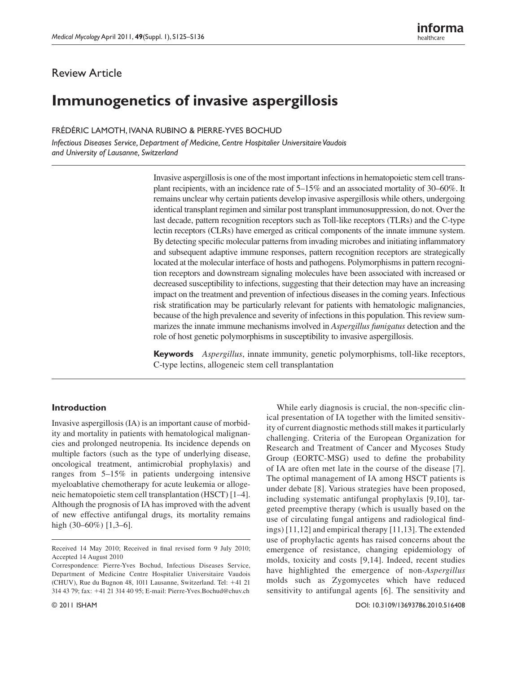# **Immunogenetics of invasive aspergillosis**

FRÉDÉRIC LAMOTH, IVANA RUBINO & PIERRE-YVES BOCHUD

*Infectious Diseases Service, Department of Medicine, Centre Hospitalier Universitaire Vaudois and University of Lausanne, Switzerland* 

> Invasive aspergillosis is one of the most important infections in hematopoietic stem cell transplant recipients, with an incidence rate of 5-15% and an associated mortality of 30-60%. It remains unclear why certain patients develop invasive aspergillosis while others, undergoing identical transplant regimen and similar post transplant immunosuppression, do not. Over the last decade, pattern recognition receptors such as Toll-like receptors (TLRs) and the C-type lectin receptors (CLRs) have emerged as critical components of the innate immune system. By detecting specific molecular patterns from invading microbes and initiating inflammatory and subsequent adaptive immune responses, pattern recognition receptors are strategically located at the molecular interface of hosts and pathogens. Polymorphisms in pattern recognition receptors and downstream signaling molecules have been associated with increased or decreased susceptibility to infections, suggesting that their detection may have an increasing impact on the treatment and prevention of infectious diseases in the coming years. Infectious risk stratification may be particularly relevant for patients with hematologic malignancies, because of the high prevalence and severity of infections in this population. This review summarizes the innate immune mechanisms involved in *Aspergillus fumigatus* detection and the role of host genetic polymorphisms in susceptibility to invasive aspergillosis.

> **Keywords** *Aspergillus* , innate immunity , genetic polymorphisms , toll-like receptors , C-type lectins, allogeneic stem cell transplantation

## **Introduction**

 Invasive aspergillosis (IA) is an important cause of morbidity and mortality in patients with hematological malignancies and prolonged neutropenia. Its incidence depends on multiple factors (such as the type of underlying disease, oncological treatment, antimicrobial prophylaxis) and ranges from  $5-15\%$  in patients undergoing intensive myeloablative chemotherapy for acute leukemia or allogeneic hematopoietic stem cell transplantation (HSCT) [1–4]. Although the prognosis of IA has improved with the advent of new effective antifungal drugs, its mortality remains high  $(30 - 60\%)$  [1,3-6].

While early diagnosis is crucial, the non-specific clinical presentation of IA together with the limited sensitivity of current diagnostic methods still makes it particularly challenging. Criteria of the European Organization for Research and Treatment of Cancer and Mycoses Study Group (EORTC-MSG) used to define the probability of IA are often met late in the course of the disease [7]. The optimal management of IA among HSCT patients is under debate [8]. Various strategies have been proposed, including systematic antifungal prophylaxis [9,10], targeted preemptive therapy (which is usually based on the use of circulating fungal antigens and radiological findings) [11,12] and empirical therapy [11,13]. The extended use of prophylactic agents has raised concerns about the emergence of resistance, changing epidemiology of molds, toxicity and costs [9,14]. Indeed, recent studies have highlighted the emergence of non-*Aspergillus* molds such as Zygomycetes which have reduced sensitivity to antifungal agents [6]. The sensitivity and

Received 14 May 2010; Received in final revised form 9 July 2010; Accepted 14 August 2010

Correspondence: Pierre-Yves Bochud, Infectious Diseases Service, Department of Medicine Centre Hospitalier Universitaire Vaudois (CHUV), Rue du Bugnon 48, 1011 Lausanne, Switzerland. Tel: +41 21 314 43 79; fax: - 41 21 314 40 95; E-mail: Pierre-Yves.Bochud@chuv.ch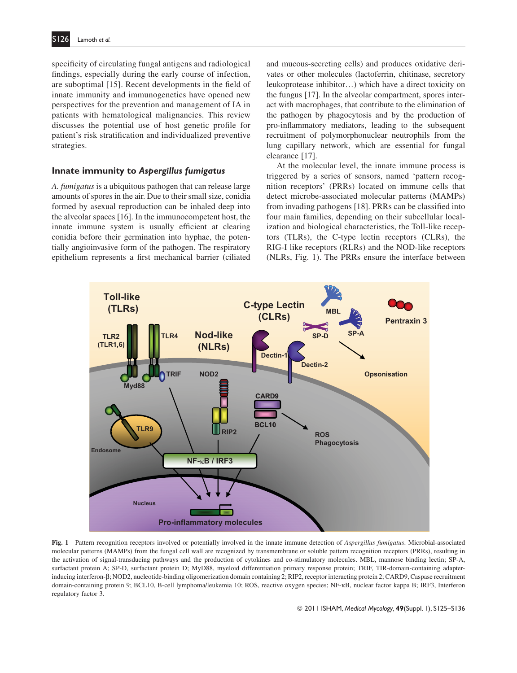specificity of circulating fungal antigens and radiological findings, especially during the early course of infection, are suboptimal [15]. Recent developments in the field of innate immunity and immunogenetics have opened new perspectives for the prevention and management of IA in patients with hematological malignancies. This review discusses the potential use of host genetic profile for patient's risk stratification and individualized preventive strategies.

## **Innate immunity to** *Aspergillus fumigatus*

*A. fumigatus* is a ubiquitous pathogen that can release large amounts of spores in the air. Due to their small size, conidia formed by asexual reproduction can be inhaled deep into the alveolar spaces [16]. In the immunocompetent host, the innate immune system is usually efficient at clearing conidia before their germination into hyphae, the potentially angioinvasive form of the pathogen. The respiratory epithelium represents a first mechanical barrier (ciliated

and mucous-secreting cells) and produces oxidative derivates or other molecules (lactoferrin, chitinase, secretory leukoprotease inhibitor...) which have a direct toxicity on the fungus [17]. In the alveolar compartment, spores interact with macrophages, that contribute to the elimination of the pathogen by phagocytosis and by the production of pro-infl ammatory mediators, leading to the subsequent recruitment of polymorphonuclear neutrophils from the lung capillary network, which are essential for fungal clearance [17].

 At the molecular level, the innate immune process is triggered by a series of sensors, named 'pattern recognition receptors' (PRRs) located on immune cells that detect microbe-associated molecular patterns (MAMPs) from invading pathogens [18]. PRRs can be classified into four main families, depending on their subcellular localization and biological characteristics, the Toll-like receptors (TLRs), the C-type lectin receptors (CLRs), the RIG-I like receptors (RLRs) and the NOD-like receptors (NLRs, Fig. 1). The PRRs ensure the interface between



**Fig. 1** Pattern recognition receptors involved or potentially involved in the innate immune detection of *Aspergillus fumigatus* . Microbial-associated molecular patterns (MAMPs) from the fungal cell wall are recognized by transmembrane or soluble pattern recognition receptors (PRRs), resulting in the activation of signal-transducing pathways and the production of cytokines and co-stimulatory molecules. MBL, mannose binding lectin; SP-A, surfactant protein A; SP-D, surfactant protein D; MyD88, myeloid differentiation primary response protein; TRIF, TIR-domain-containing adapterinducing interferon-β; NOD2, nucleotide-binding oligomerization domain containing 2; RIP2, receptor interacting protein 2; CARD9, Caspase recruitment domain-containing protein 9; BCL10, B-cell lymphoma/leukemia 10; ROS, reactive oxygen species; NF-κB, nuclear factor kappa B; IRF3, Interferon regulatory factor 3.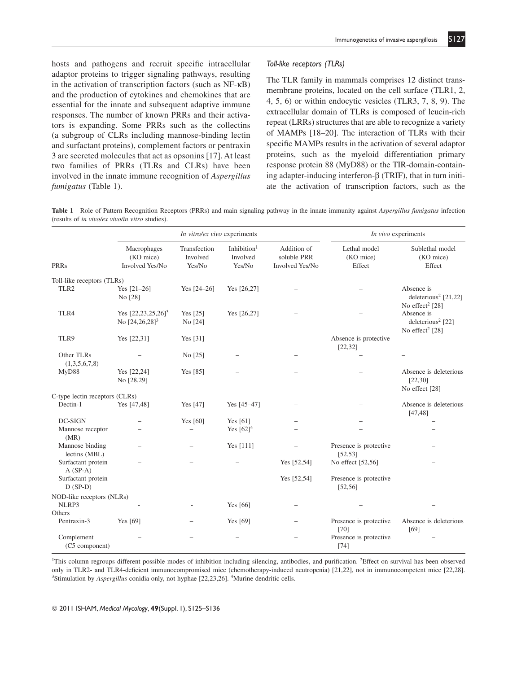hosts and pathogens and recruit specific intracellular adaptor proteins to trigger signaling pathways, resulting in the activation of transcription factors (such as NF-κB) and the production of cytokines and chemokines that are essential for the innate and subsequent adaptive immune responses. The number of known PRRs and their activators is expanding. Some PRRs such as the collectins (a subgroup of CLRs including mannose-binding lectin and surfactant proteins), complement factors or pentraxin 3 are secreted molecules that act as opsonins [17]. At least two families of PRRs (TLRs and CLRs) have been in volved in the innate immune recognition of *Aspergillus fumigatus* (Table 1).

#### *Toll-like receptors (TLRs)*

 The TLR family in mammals comprises 12 distinct transmembrane proteins, located on the cell surface (TLR1, 2, 4, 5, 6) or within endocytic vesicles (TLR3, 7, 8, 9). The extracellular domain of TLRs is composed of leucin-rich repeat (LRRs) structures that are able to recognize a variety of MAMPs [18-20]. The interaction of TLRs with their specific MAMPs results in the activation of several adaptor proteins, such as the myeloid differentiation primary response protein 88 (MyD88) or the TIR-domain-containing adapter-inducing interferon- $\beta$  (TRIF), that in turn initiate the activation of transcription factors, such as the

 **Table 1** Role of Pattern Recognition Receptors (PRRs) and main signaling pathway in the innate immunity against *Aspergillus fumigatus* infection (results of *in vivo/ex vivo/in vitro* studies).

|                                              |                                                                       | In vitro/ex vivo experiments       |                                      |                                               |                                     | In vivo experiments                                                           |
|----------------------------------------------|-----------------------------------------------------------------------|------------------------------------|--------------------------------------|-----------------------------------------------|-------------------------------------|-------------------------------------------------------------------------------|
| PRRs                                         | Macrophages<br>(KO mice)<br>Involved Yes/No                           | Transfection<br>Involved<br>Yes/No | Inhibition $1$<br>Involved<br>Yes/No | Addition of<br>soluble PRR<br>Involved Yes/No | Lethal model<br>(KO mice)<br>Effect | Sublethal model<br>(KO mice)<br>Effect                                        |
| Toll-like receptors (TLRs)                   |                                                                       |                                    |                                      |                                               |                                     |                                                                               |
| TLR <sub>2</sub>                             | Yes $[21-26]$<br>No [28]                                              | Yes $[24-26]$                      | Yes [26,27]                          |                                               |                                     | Absence is<br>deleterious <sup>2</sup> [21,22]<br>No effect <sup>2</sup> [28] |
| TLR4                                         | Yes $[22, 23, 25, 26]$ <sup>3</sup><br>No $[24, 26, 28]$ <sup>3</sup> | Yes [25]<br>No [24]                | Yes [26,27]                          |                                               |                                     | Absence is<br>deleterious <sup>2</sup> [22]                                   |
| TLR9                                         | Yes [22,31]                                                           | Yes [31]                           |                                      |                                               | Absence is protective<br>[22, 32]   | No effect <sup>2</sup> [28]<br>$\overline{\phantom{0}}$                       |
| Other TLRs<br>(1,3,5,6,7,8)                  |                                                                       | No [25]                            |                                      |                                               |                                     |                                                                               |
| MyD88                                        | Yes [22,24]<br>No [28,29]                                             | Yes [85]                           |                                      |                                               |                                     | Absence is deleterious<br>[22, 30]<br>No effect [28]                          |
| C-type lectin receptors (CLRs)               |                                                                       |                                    |                                      |                                               |                                     |                                                                               |
| Dectin-1                                     | Yes [47,48]                                                           | Yes [47]                           | Yes [45-47]                          |                                               |                                     | Absence is deleterious<br>[47, 48]                                            |
| DC-SIGN                                      |                                                                       | Yes [60]                           | Yes $[61]$                           |                                               |                                     |                                                                               |
| Mannose receptor<br>(MR)                     |                                                                       |                                    | Yes $[62]^{4}$                       |                                               |                                     |                                                                               |
| Mannose binding<br>lectins (MBL)             |                                                                       | $\overline{\phantom{0}}$           | Yes [111]                            |                                               | Presence is protective<br>[52, 53]  |                                                                               |
| Surfactant protein<br>$A(SP-A)$              |                                                                       |                                    |                                      | Yes [52,54]                                   | No effect [52,56]                   |                                                                               |
| Surfactant protein<br>$D$ (SP-D)             |                                                                       |                                    |                                      | Yes [52,54]                                   | Presence is protective<br>[52, 56]  |                                                                               |
| NOD-like receptors (NLRs)<br>NLRP3<br>Others |                                                                       |                                    | Yes [66]                             |                                               |                                     |                                                                               |
| Pentraxin-3                                  | Yes [69]                                                              |                                    | Yes [69]                             |                                               | Presence is protective<br>$[70]$    | Absence is deleterious<br>[69]                                                |
| Complement<br>(C5 component)                 |                                                                       |                                    |                                      |                                               | Presence is protective<br>$[74]$    |                                                                               |

<sup>1</sup>This column regroups different possible modes of inhibition including silencing, antibodies, and purification. <sup>2</sup>Effect on survival has been observed only in TLR2- and TLR4-deficient immunocompromised mice (chemotherapy-induced neutropenia) [21,22], not in immunocompetent mice [22,28]. <sup>3</sup>Stimulation by *Aspergillus* conidia only, not hyphae [22,23,26]. <sup>4</sup>Murine dendri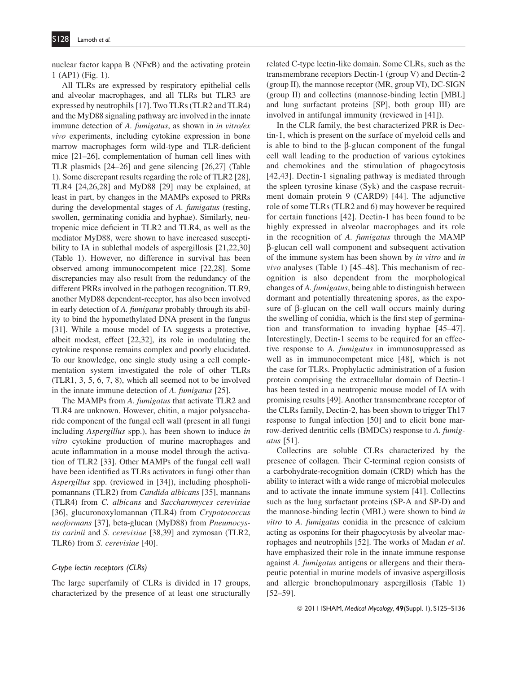nuclear factor kappa B (NFκB) and the activating protein 1 (AP1) (Fig. 1).

 All TLRs are expressed by respiratory epithelial cells and alveolar macrophages, and all TLRs but TLR3 are expressed by neutrophils [17]. Two TLRs (TLR2 and TLR4) and the MyD88 signaling pathway are involved in the innate immune detection of *A. fumigatus*, as shown in *in vitro/ex vivo* experiments, including cytokine expression in bone marrow macrophages form wild-type and TLR-deficient mice [21–26], complementation of human cell lines with TLR plasmids  $[24-26]$  and gene silencing  $[26,27]$  (Table 1). Some discrepant results regarding the role of TLR2 [28], TLR4 [24,26,28] and MyD88 [29] may be explained, at least in part, by changes in the MAMPs exposed to PRRs during the developmental stages of *A. fumigatus* (resting, swollen, germinating conidia and hyphae). Similarly, neutropenic mice deficient in TLR2 and TLR4, as well as the mediator MyD88, were shown to have increased susceptibility to IA in sublethal models of aspergillosis [21,22,30] (Table 1). However, no difference in survival has been observed among immunocompetent mice [22,28]. Some discrepancies may also result from the redundancy of the different PRRs involved in the pathogen recognition. TLR9, another MyD88 dependent-receptor, has also been involved in early detection of *A. fumigatus* probably through its ability to bind the hypomethylated DNA present in the fungus [31]. While a mouse model of IA suggests a protective, albeit modest, effect [22,32], its role in modulating the cytokine response remains complex and poorly elucidated. To our knowledge, one single study using a cell complementation system investigated the role of other TLRs (TLR1, 3, 5, 6, 7, 8), which all seemed not to be involved in the innate immune detection of *A. fumigatus* [25].

 The MAMPs from *A. fumigatus* that activate TLR2 and TLR4 are unknown. However, chitin, a major polysaccharide component of the fungal cell wall (present in all fungi including *Aspergillus* spp.), has been shown to induce *in vitro* cytokine production of murine macrophages and acute inflammation in a mouse model through the activation of TLR2 [33]. Other MAMPs of the fungal cell wall have been identified as TLRs activators in fungi other than *Aspergillus* spp. (reviewed in [34]), including phospholipomannans (TLR2) from *Candida albicans* [35], mannans (TLR4) from *C. albicans* and *Saccharomyces cerevisiae* [36], glucuronoxylomannan (TLR4) from *Crypotococcus neoformans* [37], beta-glucan (MyD88) from *Pneumocystis carinii* and *S. cerevisiae* [38,39] and zymosan (TLR2, TLR6) from *S. cerevisiae* [40].

## *C-type lectin receptors (CLRs)*

 The large superfamily of CLRs is divided in 17 groups, characterized by the presence of at least one structurally

related C-type lectin-like domain. Some CLRs, such as the transmembrane receptors Dectin-1 (group V) and Dectin-2 (group II), the mannose receptor (MR, group VI), DC-SIGN (group II) and collectins (mannose-binding lectin [MBL] and lung surfactant proteins [SP], both group III) are involved in antifungal immunity (reviewed in [41]).

 In the CLR family, the best characterized PRR is Dectin-1, which is present on the surface of myeloid cells and is able to bind to the  $\beta$ -glucan component of the fungal cell wall leading to the production of various cytokines and chemokines and the stimulation of phagocytosis [42,43]. Dectin-1 signaling pathway is mediated through the spleen tyrosine kinase (Syk) and the caspase recruitment domain protein 9 (CARD9) [44]. The adjunctive role of some TLRs (TLR2 and 6) may however be required for certain functions [42]. Dectin-1 has been found to be highly expressed in alveolar macrophages and its role in the recognition of *A. fumigatus* through the MAMP β -glucan cell wall component and subsequent activation of the immune system has been shown by *in vitro* and *in vivo* analyses (Table 1) [45-48]. This mechanism of recognition is also dependent from the morphological changes of *A. fumigatus* , being able to distinguish between dormant and potentially threatening spores, as the exposure of  $\beta$ -glucan on the cell wall occurs mainly during the swelling of conidia, which is the first step of germination and transformation to invading hyphae  $[45-47]$ . Interestingly, Dectin-1 seems to be required for an effective response to *A. fumigatus* in immunosuppressed as well as in immunocompetent mice [48], which is not the case for TLRs. Prophylactic administration of a fusion protein comprising the extracellular domain of Dectin-1 has been tested in a neutropenic mouse model of IA with promising results [49]. Another transmembrane receptor of the CLRs family, Dectin-2, has been shown to trigger Th17 response to fungal infection [50] and to elicit bone marrow-derived dentritic cells (BMDCs) response to *A. fumigatus* [51].

 Collectins are soluble CLRs characterized by the presence of collagen. Their C-terminal region consists of a carbohydrate-recognition domain (CRD) which has the ability to interact with a wide range of microbial molecules and to activate the innate immune system [41]. Collectins such as the lung surfactant proteins (SP-A and SP-D) and the mannose-binding lectin (MBL) were shown to bind *in vitro* to *A. fumigatus* conidia in the presence of calcium acting as osponins for their phagocytosis by alveolar macrophages and neutrophils [52]. The works of Madan *et al* . have emphasized their role in the innate immune response against *A. fumigatus* antigens or allergens and their therapeutic potential in murine models of invasive aspergillosis and allergic bronchopulmonary aspergillosis (Table 1)  $[52 - 59]$ .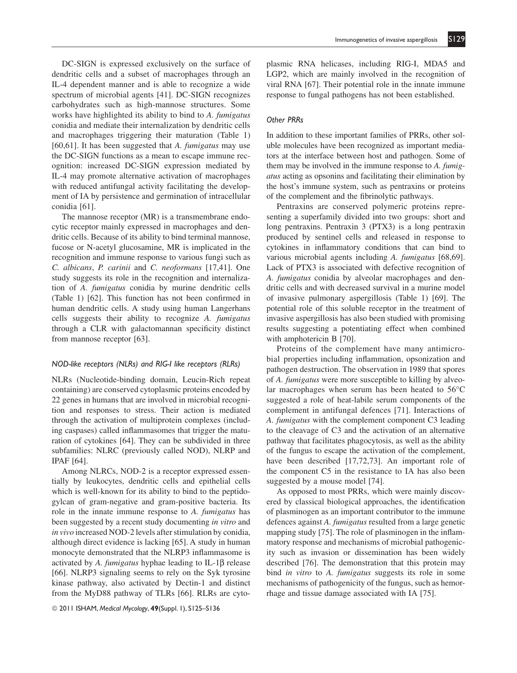DC-SIGN is expressed exclusively on the surface of dendritic cells and a subset of macrophages through an IL-4 dependent manner and is able to recognize a wide spectrum of microbial agents [41]. DC-SIGN recognizes carbohydrates such as high-mannose structures. Some works have highlighted its ability to bind to *A. fumigatus* conidia and mediate their internalization by dendritic cells and macrophages triggering their maturation (Table 1) [60,61]. It has been suggested that *A. fumigatus* may use the DC-SIGN functions as a mean to escape immune recognition: increased DC-SIGN expression mediated by IL-4 may promote alternative activation of macrophages with reduced antifungal activity facilitating the development of IA by persistence and germination of intracellular conidia [61].

 The mannose receptor (MR) is a transmembrane endocytic receptor mainly expressed in macrophages and dendritic cells. Because of its ability to bind terminal mannose, fucose or N-acetyl glucosamine, MR is implicated in the recognition and immune response to various fungi such as *C. albicans* , *P. carinii* and *C. neoformans* [17,41]. One study suggests its role in the recognition and internalization of *A. fumigatus* conidia by murine dendritic cells (Table 1)  $[62]$ . This function has not been confirmed in human dendritic cells. A study using human Langerhans cells suggests their ability to recognize *A. fumigatus* through a CLR with galactomannan specificity distinct from mannose receptor [63].

#### *NOD-like receptors (NLRs) and RIG-I like receptors (RLRs)*

 NLRs (Nucleotide-binding domain, Leucin-Rich repeat containing) are conserved cytoplasmic proteins encoded by 22 genes in humans that are involved in microbial recognition and responses to stress. Their action is mediated through the activation of multiprotein complexes (including caspases) called inflammasomes that trigger the maturation of cytokines [64]. They can be subdivided in three subfamilies: NLRC (previously called NOD), NLRP and IPAF [64].

 Among NLRCs, NOD-2 is a receptor expressed essentially by leukocytes, dendritic cells and epithelial cells which is well-known for its ability to bind to the peptidogylcan of gram-negative and gram-positive bacteria. Its role in the innate immune response to *A. fumigatus* has been suggested by a recent study documenting *in vitro* and *in vivo* increased NOD-2 levels after stimulation by conidia, although direct evidence is lacking [65]. A study in human monocyte demonstrated that the NLRP3 inflammasome is activated by *A. fumigatus* hyphae leading to IL-1 β release [66]. NLRP3 signaling seems to rely on the Syk tyrosine kinase pathway, also activated by Dectin-1 and distinct from the MyD88 pathway of TLRs [66]. RLRs are cyto-

plasmic RNA helicases, including RIG-I, MDA5 and LGP2, which are mainly involved in the recognition of viral RNA [67]. Their potential role in the innate immune response to fungal pathogens has not been established.

## *Other PRRs*

 In addition to these important families of PRRs, other soluble molecules have been recognized as important mediators at the interface between host and pathogen. Some of them may be involved in the immune response to *A. fumigatus* acting as opsonins and facilitating their elimination by the host's immune system, such as pentraxins or proteins of the complement and the fibrinolytic pathways.

 Pentraxins are conserved polymeric proteins representing a superfamily divided into two groups: short and long pentraxins. Pentraxin 3 (PTX3) is a long pentraxin produced by sentinel cells and released in response to cytokines in inflammatory conditions that can bind to various microbial agents including *A. fumigatus* [68,69]. Lack of PTX3 is associated with defective recognition of *A. fumigatus* conidia by alveolar macrophages and dendritic cells and with decreased survival in a murine model of invasive pulmonary aspergillosis (Table 1) [69]. The potential role of this soluble receptor in the treatment of invasive aspergillosis has also been studied with promising results suggesting a potentiating effect when combined with amphotericin B [70].

 Proteins of the complement have many antimicrobial properties including inflammation, opsonization and pathogen destruction. The observation in 1989 that spores of *A. fumigatus* were more susceptible to killing by alveolar macrophages when serum has been heated to  $56^{\circ}$ C suggested a role of heat-labile serum components of the complement in antifungal defences [71]. Interactions of *A. fumigatus* with the complement component C3 leading to the cleavage of C3 and the activation of an alternative pathway that facilitates phagocytosis, as well as the ability of the fungus to escape the activation of the complement, have been described [17,72,73]. An important role of the component C5 in the resistance to IA has also been suggested by a mouse model [74].

 As opposed to most PRRs, which were mainly discovered by classical biological approaches, the identification of plasminogen as an important contributor to the immune defences against *A. fumigatus* resulted from a large genetic mapping study [75]. The role of plasminogen in the inflammatory response and mechanisms of microbial pathogenicity such as invasion or dissemination has been widely described [76]. The demonstration that this protein may bind *in vitro* to *A. fumigatus* suggests its role in some mechanisms of pathogenicity of the fungus, such as hemorrhage and tissue damage associated with IA [75].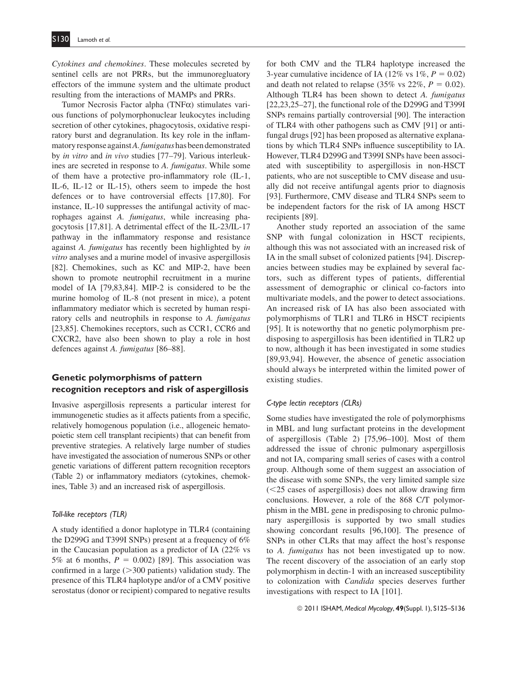*Cytokines and chemokines* . These molecules secreted by sentinel cells are not PRRs, but the immunoregluatory effectors of the immune system and the ultimate product resulting from the interactions of MAMPs and PRRs.

Tumor Necrosis Factor alpha (TNF $\alpha$ ) stimulates various functions of polymorphonuclear leukocytes including secretion of other cytokines, phagocytosis, oxidative respiratory burst and degranulation. Its key role in the inflammatory response against *A. fumigatus* has been demonstrated by *in vitro* and *in vivo* studies [77–79]. Various interleukines are secreted in response to *A. fumigatus*. While some of them have a protective pro-inflammatory role  $(IL-1,$ IL-6, IL-12 or IL-15), others seem to impede the host defences or to have controversial effects [17,80]. For instance, IL-10 suppresses the antifungal activity of macrophages against *A. fumigatus*, while increasing phagocytosis [17,81]. A detrimental effect of the IL-23/IL-17 pathway in the inflammatory response and resistance against *A. fumigatus* has recently been highlighted by *in vitro* analyses and a murine model of invasive aspergillosis [82]. Chemokines, such as KC and MIP-2, have been shown to promote neutrophil recruitment in a murine model of IA [79,83,84]. MIP-2 is considered to be the murine homolog of IL-8 (not present in mice), a potent inflammatory mediator which is secreted by human respiratory cells and neutrophils in response to *A. fumigatus* [23,85]. Chemokines receptors, such as CCR1, CCR6 and CXCR2, have also been shown to play a role in host defences against *A. fumigatus* [86–88].

## **Genetic polymorphisms of pattern recognition receptors and risk of aspergillosis**

 Invasive aspergillosis represents a particular interest for immunogenetic studies as it affects patients from a specific, relatively homogenous population (i.e., allogeneic hematopoietic stem cell transplant recipients) that can benefit from preventive strategies. A relatively large number of studies have investigated the association of numerous SNPs or other genetic variations of different pattern recognition receptors (Table 2) or inflammatory mediators (cytokines, chemokines, Table 3) and an increased risk of aspergillosis.

## *Toll-like receptors (TLR)*

A study identified a donor haplotype in TLR4 (containing the D299G and T399I SNPs) present at a frequency of 6% in the Caucasian population as a predictor of IA (22% vs 5% at 6 months,  $P = 0.002$ ) [89]. This association was confirmed in a large  $($ >300 patients) validation study. The presence of this TLR4 haplotype and/or of a CMV positive serostatus (donor or recipient) compared to negative results

for both CMV and the TLR4 haplotype increased the 3-year cumulative incidence of IA (12% vs  $1\%$ ,  $P = 0.02$ ) and death not related to relapse (35% vs  $22\%, P = 0.02$ ). Although TLR4 has been shown to detect *A. fumigatus*  $[22,23,25-27]$ , the functional role of the D299G and T399I SNPs remains partially controversial [90]. The interaction of TLR4 with other pathogens such as CMV [91] or antifungal drugs [92] has been proposed as alternative explanations by which TLR4 SNPs influence susceptibility to IA. However, TLR4 D299G and T399I SNPs have been associated with susceptibility to aspergillosis in non-HSCT patients, who are not susceptible to CMV disease and usually did not receive antifungal agents prior to diagnosis [93]. Furthermore, CMV disease and TLR4 SNPs seem to be independent factors for the risk of IA among HSCT recipients [89].

 Another study reported an association of the same SNP with fungal colonization in HSCT recipients, although this was not associated with an increased risk of IA in the small subset of colonized patients [94]. Discrepancies between studies may be explained by several factors, such as different types of patients, differential assessment of demographic or clinical co-factors into multivariate models, and the power to detect associations. An increased risk of IA has also been associated with polymorphisms of TLR1 and TLR6 in HSCT recipients [95]. It is noteworthy that no genetic polymorphism predisposing to aspergillosis has been identified in TLR2 up to now, although it has been investigated in some studies [89,93,94]. However, the absence of genetic association should always be interpreted within the limited power of existing studies.

## *C-type lectin receptors (CLRs)*

 Some studies have investigated the role of polymorphisms in MBL and lung surfactant proteins in the development of aspergillosis (Table 2)  $[75,96-100]$ . Most of them addressed the issue of chronic pulmonary aspergillosis and not IA, comparing small series of cases with a control group. Although some of them suggest an association of the disease with some SNPs, the very limited sample size  $\approx$  25 cases of aspergillosis) does not allow drawing firm conclusions. However, a role of the 868 C/T polymorphism in the MBL gene in predisposing to chronic pulmonary aspergillosis is supported by two small studies showing concordant results [96,100]. The presence of SNPs in other CLRs that may affect the host's response to *A. fumigatus* has not been investigated up to now. The recent discovery of the association of an early stop polymorphism in dectin-1 with an increased susceptibility to colonization with *Candida* species deserves further investigations with respect to IA [101].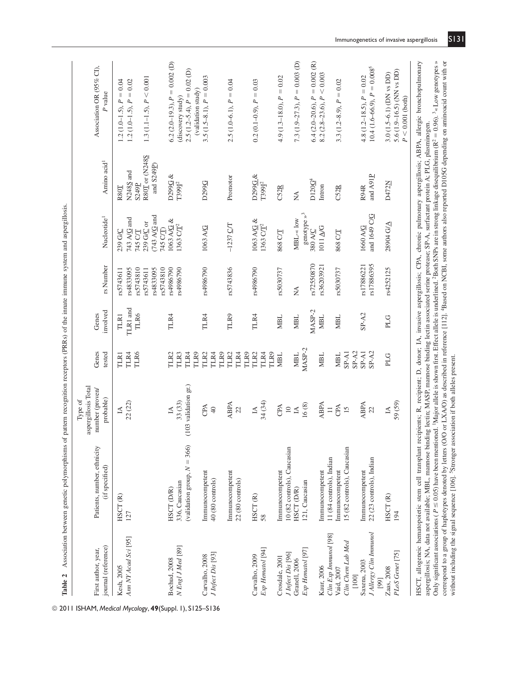| i<br>¢<br>j<br>١<br>į<br>î<br>j<br>ì<br>Ì<br>Ē<br>í<br>į<br>1                                                                                                                                                                                   |
|-------------------------------------------------------------------------------------------------------------------------------------------------------------------------------------------------------------------------------------------------|
| ֕<br>ׇ֚֕֕<br>l<br>ı                                                                                                                                                                                                                             |
| ţ<br>i<br>١<br>centı<br>֖֖֖֖֖֖֖֖֖֧֖֖֖֖֧֚֚֚֚֚֚֚֚֚֚֚֚֚֚֚֚֚֚֚֚֚֚֚֚֚֚֚֚֚֬֝֓֞֝<br>l<br>í<br>i<br>č<br>֠<br>Ú<br>i<br>j<br>l<br>۱<br>l<br>ï<br>l<br>į<br>ı<br>¢<br>֖֖֖֖֢ׅ֢ׅ֖֧ׅ֪ׅ֪ׅ֪ׅ֖֧֖֧֖֖֧֧֪֪֪֪֧֚֚֚֚֚֚֚֚֚֚֚֚֚֚֚֚֚֚֚֚֚֚֚֚֚֚֬֝֝֬֝֬֝֓֞֞֝<br>i<br>ï<br>j |
| l<br>۱<br>֦֦֦֦֦֦֦֦֦֦֦֦֦֦֦֧֦֧֦֧֦֧֦֧֦֧֧֧֦֧֞֘֝֝֝֝֝֝֝֝֝֝֝֬֝֝֝֝֓֝֬֝֓֞֝֝֓֝֓֝֓֞֝֓֝֓֝֓֝֓֝֓֝֓֝֓֞֝֓֝֓֞֝֬֝<br>l<br>l<br>֖֖֖֖֖֧ׅ֧ׅ֖֧֚֚֚֚֚֚֚֚֚֚֚֚֚֚֚֚֚֚֚֚֚֚֚֚֚֚֚֬֝֝֬<br>d<br>I<br>í<br>i<br>i<br>f<br>ı                                                      |
| q<br>¢<br>ì<br>i<br>i<br>I                                                                                                                                                                                                                      |

| journal (reference)<br>First author, year,    | Patients, number, ethnicity<br>(if specified)                                                                                                                                                                                                                                                                                                                           | aspergillosis Total<br>number (proven/<br>probable)<br>Type of | Genes<br>tested                   | involved<br>Genes    | rs Number                           | Nucleotide <sup>1</sup>                         | Amino acid <sup>1</sup>                | Association OR (95% CI),<br>P value                                                  |
|-----------------------------------------------|-------------------------------------------------------------------------------------------------------------------------------------------------------------------------------------------------------------------------------------------------------------------------------------------------------------------------------------------------------------------------|----------------------------------------------------------------|-----------------------------------|----------------------|-------------------------------------|-------------------------------------------------|----------------------------------------|--------------------------------------------------------------------------------------|
| Ann NY Acad Sci <sup>[95]</sup><br>Kesh, 2005 | HSCT <sub>(R)</sub><br>127                                                                                                                                                                                                                                                                                                                                              | 22(22)<br>$\Delta$                                             | TLR4<br><b>TLRI</b>               | TLR1 and<br>TLR1     | rs4833095<br>rs5743611              | 743 A/G and<br>239 G/C                          | N248 <sup>S</sup> and<br>R80T          | $1.2(1.0-1.5), P = 0.02$<br>$1.2(1.0-1.5), P = 0.04$                                 |
|                                               |                                                                                                                                                                                                                                                                                                                                                                         |                                                                | TLR6                              | TLR6                 | rs5743810<br>rs4833095<br>rs5743611 | $(743 \text{ A/G}$ and<br>239 G/C or<br>745 C/T | R80T or (N248S)<br>and S249P)<br>S249P | 1.3 $(1.1-1.5)$ , $P < 0.001$                                                        |
| N Engl J Med [89]<br>Bochud, 2008             | (validation group, $N = 366$ )<br>336, Caucasian<br>HSCT <sub>(D/R)</sub>                                                                                                                                                                                                                                                                                               | (103 validation gr.)<br>33 (33)<br>$\Delta$                    | TLR3<br>ILR4<br>TLR9<br>TLR2      | TLR4                 | rs5743810<br>rs4986790<br>rs4986790 | 1063 A/G &<br>1363 $CI^2$<br>745 C/T)           | ళ<br><b>D299G</b><br>$\rm T399I^2$     | 6.2 $(2.0-19.3), P = 0.002$ (D)<br>$2.5(1.2-5.4), P = 0.02$ (D)<br>(discovery study) |
| J Infect Dis [93]<br>Carvalho, 2008           | Immunocompetent<br>40 (80 controls)                                                                                                                                                                                                                                                                                                                                     | CPA<br>$\sqrt{4}$                                              | TLR2<br>TLR9<br>TLR4              | TLR4                 | rs4986790                           | 1063 A/G                                        | <b>D299G</b>                           | 3.5 $(1.5-8.1)$ , $P = 0.003$<br>(validation study)                                  |
|                                               | Immunocompetent<br>22 (80 controls)                                                                                                                                                                                                                                                                                                                                     | <b>ABPA</b><br>$\mathcal{Z}$                                   | TLR9<br>TLR2<br>TLR4              | TLR9                 | rs5743836                           | $-1237$ CT                                      | Promotor                               | $2.5(1.0-6.1), P = 0.04$                                                             |
| Exp Hematol <sup>[94]</sup><br>Carvalho, 2009 | HSCT <sub>(R)</sub><br>58                                                                                                                                                                                                                                                                                                                                               | 34 (34)<br>$\Delta$                                            | TLR2<br>TLR4<br>TLR9              | TLR4                 | rs4986790                           | 1063 A/G &<br>1363 C/T <sup>2</sup>             | D299G&<br>T399I <sup>2</sup>           | $0.2(0.1-0.9), P = 0.03$                                                             |
| J Infect Dis [96]<br>Crosdale, 2001           | 10 (82 controls), Caucasian<br>Immunocompetent                                                                                                                                                                                                                                                                                                                          | CPA<br>$\overline{10}$                                         | <b>MBL</b>                        | <b>MBL</b>           | rs5030737                           | 868 C/I                                         | C52R                                   | $4.9(1.3 - 18.0), P = 0.02$                                                          |
| Exp Hematol <sup>[97]</sup><br>Granell, 2006  | 121, Caucasian<br>HSCT <sub>(D/R)</sub>                                                                                                                                                                                                                                                                                                                                 | 16(8)<br>$\Delta$                                              | MASP-2<br><b>MBL</b>              | <b>MBL</b>           | $\lessapprox$                       | genotype $\ast$ <sup>3</sup><br>MBL-« low       | $\tilde{\mathbf{z}}$                   | 7.3 (1.9–27.3), $P = 0.003$ (D)                                                      |
| Clin Exp Immunol [98]<br>Kaur, 2006           | 11 (84 controls), Indian<br>Immunocompetent                                                                                                                                                                                                                                                                                                                             | <b>ABPA</b><br>$\equiv$                                        | <b>MBL</b>                        | MASP-2<br><b>MBL</b> | rs72550870<br>rs36203921            | 1011 A/G<br>380 A/C                             | $D120 \underline{G}^4$<br>Intron       | 6.4 (2.0–20.6), $P = 0.002$ (R)<br>8.2 $(2.8-23.6)$ , $P < 0.003$                    |
| Clin Chem Lab Med<br>Vaid, 2007<br>$[100]$    | 15 (82 controls), Caucasian<br>Immunocompetent                                                                                                                                                                                                                                                                                                                          | CPA<br>15                                                      | $SP- A2$<br>$SP-AI$<br><b>MBL</b> | <b>MBL</b>           | rs5030737                           | 868 C/I                                         | C52R                                   | 3.3 $(1.2-8.9)$ , $P = 0.02$                                                         |
| J Allergy Clin Immunol<br>Saxena, 2003        | 22 (23 controls), Indian<br>Immunocompetent                                                                                                                                                                                                                                                                                                                             | <b>ABPA</b><br>22                                              | $SP- A2$<br>$SP-AI$               | $SP-AZ$              | rs17886395<br>rs17886221            | and 1649 C/C<br>1660 A/G                        | and A91P<br>R94R                       | $10.4 (1.6 - 66.9), P = 0.0085$<br>4.8 $(1.2-18.5)$ , $P = 0.02$                     |
| PLoS Genet [75]<br>Zaas, 2008<br>$[99]$       | HSCT <sub>(R)</sub><br>194                                                                                                                                                                                                                                                                                                                                              | 59 (59)<br>$\Delta$                                            | PLG                               | PLG                  | rs4252125                           | 28904 G/A                                       | D472N                                  | 5.6 (1.9-16.5) (NN vs DD)<br>$3.0$ (1.5-6.1) (DN vs DD)<br>$P < 0.001$ (both)        |
|                                               | HSCT, allogeneic hematopoietic stem cell transplant recipients; R, recipient; D, donor; IA, invasive aspergillosis; CPA, chronic pulmonary aspergillosis; ABPA, allergic bronchopulmonary<br>aspergillosis; NA, data not available; MBL, mannose binding lectin; MASP, mannose binding lectin associated serine protease; SP-A, surfactant protein A; PLG, plasminogen. |                                                                |                                   |                      |                                     |                                                 |                                        |                                                                                      |

Only signifi cant associations (

*P*

without including the signal sequence [106]. 5Stronger association if both alleles present.

 $\leq$  0.05) have been mentioned. Wajor allele is shown first. Effect allele is underlined. <sup>2</sup>Both SNPs are in strong linkage disequilibrium (R<sup>2</sup> = 0.96). <sup>3</sup>« Low genotypes »

correspond to a group of haplotypes denoted by letters (O/O or LXA/O) as described in reference [112]. 4Based on NCBI, some authors also reported D105G depending on aminoacid count with or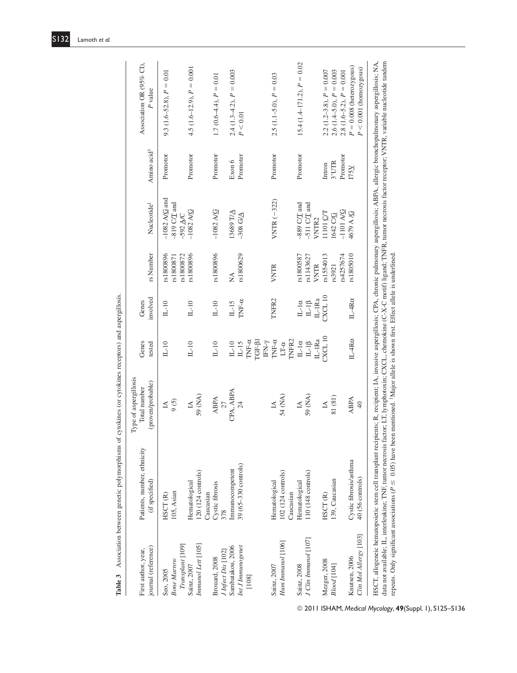|                                               | Type of aspergillosis             |                    |                                   |                              |                         |                              |                                                                                                                                                                                                                                                                                                                                                                                                                                                                                                                                                 |
|-----------------------------------------------|-----------------------------------|--------------------|-----------------------------------|------------------------------|-------------------------|------------------------------|-------------------------------------------------------------------------------------------------------------------------------------------------------------------------------------------------------------------------------------------------------------------------------------------------------------------------------------------------------------------------------------------------------------------------------------------------------------------------------------------------------------------------------------------------|
| Patients, number, ethnicity<br>(if specified) | (proven/probable)<br>Total number | Genes<br>tested    | involved<br>Genes                 | rs Number                    | Nucleotide <sup>1</sup> | Amino acid <sup>1</sup>      | Association OR (95% CI),<br>P value                                                                                                                                                                                                                                                                                                                                                                                                                                                                                                             |
| HSCT(R)                                       | $\triangle$                       | $IL-10$            | $IL-10$                           | rs1800896                    | $-1082$ A/G and         | Promotor                     | 9.3 $(1.6-52.8), P = 0.01$                                                                                                                                                                                                                                                                                                                                                                                                                                                                                                                      |
|                                               |                                   |                    |                                   |                              |                         |                              |                                                                                                                                                                                                                                                                                                                                                                                                                                                                                                                                                 |
| Hematological                                 | $\triangle$                       | $L-10$             | $IL-10$                           | rs1800896                    | $-1082$ A/ $G$          | Promotor                     | 4.5 $(1.6-12.9)$ , $P = 0.001$                                                                                                                                                                                                                                                                                                                                                                                                                                                                                                                  |
| 120 (124 controls)                            | 59 (NA)                           |                    |                                   |                              |                         |                              |                                                                                                                                                                                                                                                                                                                                                                                                                                                                                                                                                 |
| Caucasian                                     |                                   |                    |                                   |                              |                         |                              |                                                                                                                                                                                                                                                                                                                                                                                                                                                                                                                                                 |
| Cystic fibrosis                               | <b>ABPA</b>                       | $IL-10$            | $IL-10$                           | rs1800896                    | $-1082$ A/G             | Promotor                     | 1.7 $(0.6-4.4)$ , $P = 0.01$                                                                                                                                                                                                                                                                                                                                                                                                                                                                                                                    |
| 378                                           | 27                                |                    |                                   |                              |                         |                              |                                                                                                                                                                                                                                                                                                                                                                                                                                                                                                                                                 |
| Immunocompetent                               | CPA, ABPA                         | $IL-10$            | $IL-15$                           | $\tilde{\mathbb{E}}$         | 13689 T/A               | Exon 6                       | $2.4(1.3-4.2), P = 0.003$                                                                                                                                                                                                                                                                                                                                                                                                                                                                                                                       |
| 39 (65-330 controls)                          | $\overline{24}$                   | $IL-15$            |                                   | rs1800629                    | $-308$ G/ $\triangle$   | Promoter                     | P < 0.01                                                                                                                                                                                                                                                                                                                                                                                                                                                                                                                                        |
|                                               |                                   | TNF-a              |                                   |                              |                         |                              |                                                                                                                                                                                                                                                                                                                                                                                                                                                                                                                                                 |
|                                               |                                   | $TGF-1$            |                                   |                              |                         |                              |                                                                                                                                                                                                                                                                                                                                                                                                                                                                                                                                                 |
|                                               |                                   |                    |                                   |                              |                         |                              |                                                                                                                                                                                                                                                                                                                                                                                                                                                                                                                                                 |
| Hematological                                 | $\triangle$                       | TNF- $\alpha$      | TNFR <sub>2</sub>                 | <b>VNTR</b>                  | VNTR (-322)             | Promotor                     | $2.5(1.1-5.0), P = 0.03$                                                                                                                                                                                                                                                                                                                                                                                                                                                                                                                        |
| 102 (124 controls)                            | 54 (NA)                           | $LT-\alpha$        |                                   |                              |                         |                              |                                                                                                                                                                                                                                                                                                                                                                                                                                                                                                                                                 |
| Caucasian                                     |                                   | TNFR2              |                                   |                              |                         |                              |                                                                                                                                                                                                                                                                                                                                                                                                                                                                                                                                                 |
| Hematological                                 | $\Delta$                          | $IL-I\alpha$       | $IL-1\alpha$                      | rs1800587                    | -889 C/T and            | Promotor                     | $15.4(1.4-171.2), P = 0.02$                                                                                                                                                                                                                                                                                                                                                                                                                                                                                                                     |
| 110 (148 controls)                            | 59 (NA)                           | $IL-1\beta$        |                                   | rs1143627                    | -511 C $T$ and          |                              |                                                                                                                                                                                                                                                                                                                                                                                                                                                                                                                                                 |
|                                               |                                   | IL-1Ra             | $IL-IRa$                          | <b>VNTR</b>                  | VNTR2                   |                              |                                                                                                                                                                                                                                                                                                                                                                                                                                                                                                                                                 |
| HSCT(R)                                       | $\Delta$                          | CXCL <sub>10</sub> | CXCL <sub>10</sub>                | rs1554013                    | $11101$ $C/T$           | Intron                       | $2.2(1.2-3.8), P = 0.007$                                                                                                                                                                                                                                                                                                                                                                                                                                                                                                                       |
| 139, Caucasian                                | $81\ (81)$                        |                    |                                   | rs3921                       | 1642 C/G                | 3'UTR                        | $2.6(1.4-5.0), P = 0.003$                                                                                                                                                                                                                                                                                                                                                                                                                                                                                                                       |
|                                               |                                   |                    |                                   | rs4257674                    | $-1101$ A/G             | Promotor                     | $2.8(1.6-5.2), P = 0.001$                                                                                                                                                                                                                                                                                                                                                                                                                                                                                                                       |
| Cystic fibrosis/asthma                        | <b>ABPA</b>                       | $IL-4R\alpha$      | $IL-4R\alpha$                     | rs1805010                    | 4679 A /G               | I75V                         | $P = 0.008$ (heterozygous)                                                                                                                                                                                                                                                                                                                                                                                                                                                                                                                      |
| 40 (56 controls)                              | $\overline{40}$                   |                    |                                   |                              |                         |                              | $P < 0.001$ (homozygous)                                                                                                                                                                                                                                                                                                                                                                                                                                                                                                                        |
|                                               |                                   |                    |                                   |                              |                         |                              |                                                                                                                                                                                                                                                                                                                                                                                                                                                                                                                                                 |
|                                               | 105, Asian                        | 9(5)               | $\Gamma\text{-}\mathrm{N-}\gamma$ | TNF- $\alpha$<br>$IL-1\beta$ | rs1800872<br>rs1800871  | $-819$ C/T and<br>$-592$ A/C | data not available; IL, interleukine; TNF, tumor necrosis factor; LT, lymphotoxin; CXCL, chemokine (C-X-C motif) ligand; TNFR, tumor necrosis factor receptor; VNTR, variable nucleotide tandem<br>HSCT, allogeneic hematopoietic stem cell transplant recipients; R, recipient; IA, invasive aspergillosis; CPA, chronic pulmonary aspergillosis; ABPA, allergic bronchopulmonary aspergillosis; NA,<br>repeats. Only significant associations ( $P \leq 0.05$ ) have been mentioned. Major allele is shown first. Effect allele is underlined |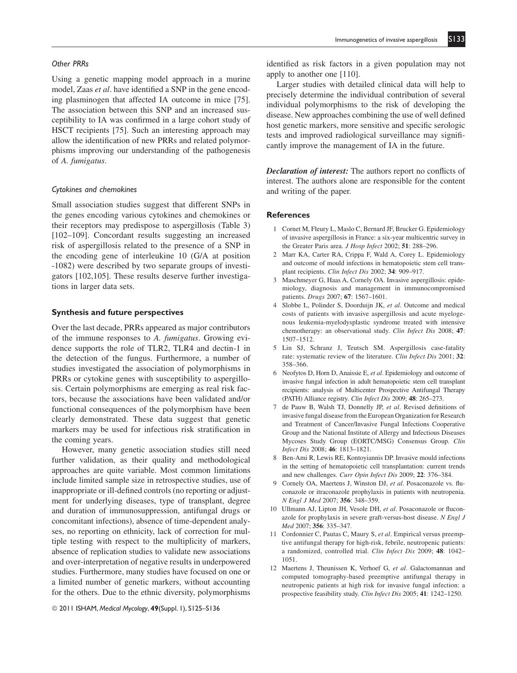#### *Other PRRs*

 Using a genetic mapping model approach in a murine model, Zaas *et al*. have identified a SNP in the gene encoding plasminogen that affected IA outcome in mice [75]. The association between this SNP and an increased susceptibility to IA was confirmed in a large cohort study of HSCT recipients [75]. Such an interesting approach may allow the identification of new PRRs and related polymorphisms improving our understanding of the pathogenesis of *A. fumigatus* .

#### *Cytokines and chemokines*

 Small association studies suggest that different SNPs in the genes encoding various cytokines and chemokines or their receptors may predispose to aspergillosis (Table 3) [102–109]. Concordant results suggesting an increased risk of aspergillosis related to the presence of a SNP in the encoding gene of interleukine 10 (G/A at position -1082) were described by two separate groups of investigators [102,105]. These results deserve further investigations in larger data sets.

#### **Synthesis and future perspectives**

 Over the last decade, PRRs appeared as major contributors of the immune responses to *A. fumigatus* . Growing evidence supports the role of TLR2, TLR4 and dectin-1 in the detection of the fungus. Furthermore, a number of studies investigated the association of polymorphisms in PRRs or cytokine genes with susceptibility to aspergillosis. Certain polymorphisms are emerging as real risk factors, because the associations have been validated and/or functional consequences of the polymorphism have been clearly demonstrated. These data suggest that genetic markers may be used for infectious risk stratification in the coming years.

 However, many genetic association studies still need further validation, as their quality and methodological approaches are quite variable. Most common limitations include limited sample size in retrospective studies, use of inappropriate or ill-defined controls (no reporting or adjustment for underlying diseases, type of transplant, degree and duration of immunosuppression, antifungal drugs or concomitant infections), absence of time-dependent analyses, no reporting on ethnicity, lack of correction for multiple testing with respect to the multiplicity of markers, absence of replication studies to validate new associations and over-interpretation of negative results in underpowered studies. Furthermore, many studies have focused on one or a limited number of genetic markers, without accounting for the others. Due to the ethnic diversity, polymorphisms

© 2011 ISHAM, *Medical Mycology*, **49**(Suppl. 1), S125–S136

identified as risk factors in a given population may not apply to another one [110].

 Larger studies with detailed clinical data will help to precisely determine the individual contribution of several individual polymorphisms to the risk of developing the disease. New approaches combining the use of well defined host genetic markers, more sensitive and specific serologic tests and improved radiological surveillance may significantly improve the management of IA in the future.

*Declaration of interest:* The authors report no conflicts of interest. The authors alone are responsible for the content and writing of the paper.

#### **References**

- 1 Cornet M, Fleury L, Maslo C, Bernard JF, Brucker G. Epidemiology of invasive aspergillosis in France: a six-year multicentric survey in the Greater Paris area. *J Hosp Infect* 2002; **51** : 288 – 296.
- 2 Marr KA, Carter RA, Crippa F, Wald A, Corey L. Epidemiology and outcome of mould infections in hematopoietic stem cell transplant recipients. *Clin Infect Dis* 2002; 34: 909-917.
- 3 Maschmeyer G, Haas A, Cornely OA. Invasive aspergillosis: epidemiology, diagnosis and management in immunocompromised patients. *Drugs* 2007; **67** : 1567 – 1601.
- 4 Slobbe L, Polinder S, Doorduijn JK, *et al* . Outcome and medical costs of patients with invasive aspergillosis and acute myelogenous leukemia-myelodysplastic syndrome treated with intensive chemotherapy: an observational study. *Clin Infect Dis* 2008; **47** : 1507 – 1512.
- 5 Lin SJ, Schranz J, Teutsch SM. Aspergillosis case-fatality rate: systematic review of the literature. *Clin Infect Dis* 2001; **32** : 358 – 366.
- 6 Neofytos D, Horn D, Anaissie E, *et al* . Epidemiology and outcome of invasive fungal infection in adult hematopoietic stem cell transplant recipients: analysis of Multicenter Prospective Antifungal Therapy (PATH) Alliance registry. *Clin Infect Dis* 2009; **48** : 265 – 273.
- 7 de Pauw B, Walsh TJ, Donnelly JP, et al. Revised definitions of invasive fungal disease from the European Organization for Research and Treatment of Cancer/Invasive Fungal Infections Cooperative Group and the National Institute of Allergy and Infectious Diseases Mycoses Study Group (EORTC/MSG) Consensus Group. *Clin Infect Dis* 2008; **46** : 1813 – 1821.
- 8 Ben-Ami R, Lewis RE, Kontoyiannis DP. Invasive mould infections in the setting of hematopoietic cell transplantation: current trends and new challenges. *Curr Opin Infect Dis* 2009; 22: 376-384.
- 9 Cornely OA, Maertens J, Winston DJ, et al. Posaconazole vs. fluconazole or itraconazole prophylaxis in patients with neutropenia. *N Engl J Med* 2007; **356** : 348 – 359.
- 10 Ullmann AJ, Lipton JH, Vesole DH, et al. Posaconazole or fluconazole for prophylaxis in severe graft-versus-host disease. *N Engl J Med* 2007; **356** : 335 – 347.
- 11 Cordonnier C, Pautas C, Maury S, *et al* . Empirical versus preemptive antifungal therapy for high-risk, febrile, neutropenic patients: a randomized, controlled trial. *Clin Infect Dis* 2009; 48: 1042-1051.
- 12 Maertens J, Theunissen K, Verhoef G, *et al* . Galactomannan and computed tomography-based preemptive antifungal therapy in neutropenic patients at high risk for invasive fungal infection: a prospective feasibility study. *Clin Infect Dis* 2005; 41: 1242-1250.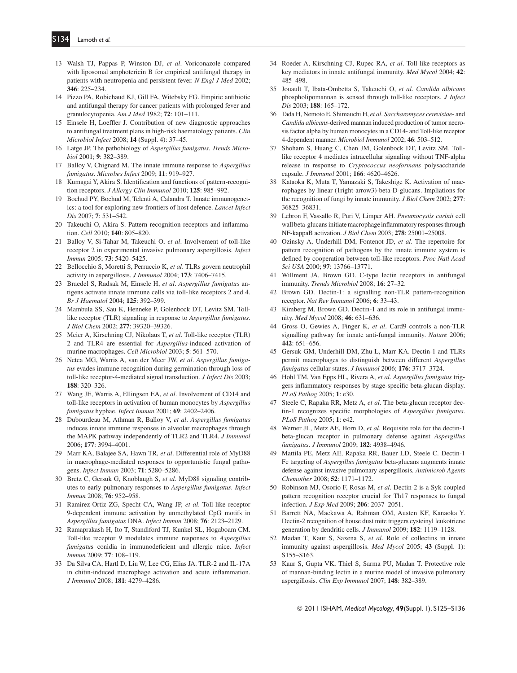- 13 Walsh TJ, Pappas P, Winston DJ, *et al* . Voriconazole compared with liposomal amphotericin B for empirical antifungal therapy in patients with neutropenia and persistent fever. *N Engl J Med* 2002;  $346: 225 - 234$
- 14 Pizzo PA, Robichaud KJ, Gill FA, Witebsky FG. Empiric antibiotic and antifungal therapy for cancer patients with prolonged fever and granulocytopenia. *Am J Med* 1982; **72** : 101 – 111.
- 15 Einsele H, Loeffler J. Contribution of new diagnostic approaches to antifungal treatment plans in high-risk haematology patients. *Clin Microbiol Infect* 2008; **14** (Suppl. 4): 37-45.
- 16 Latge JP. The pathobiology of *Aspergillus fumigatus* . *Trends Microbiol* 2001; **9** : 382 – 389.
- 17 Balloy V, Chignard M. The innate immune response to *Aspergillus fumigatus* . *Microbes Infect* 2009; **11** : 919 – 927.
- 18 Kumagai Y, Akira S. Identification and functions of pattern-recognition receptors. *J Allergy Clin Immunol* 2010; **125** : 985 – 992.
- 19 Bochud PY, Bochud M, Telenti A, Calandra T. Innate immunogenetics: a tool for exploring new frontiers of host defence. *Lancet Infect Dis* 2007; **7** : 531 – 542.
- 20 Takeuchi O, Akira S. Pattern recognition receptors and inflammation. *Cell* 2010; **140** : 805 – 820.
- 21 Balloy V, Si-Tahar M, Takeuchi O, *et al* . Involvement of toll-like receptor 2 in experimental invasive pulmonary aspergillosis. *Infect Immun* 2005; **73** : 5420 – 5425.
- 22 Bellocchio S, Moretti S, Perruccio K, *et al* . TLRs govern neutrophil activity in aspergillosis. *J Immunol* 2004; 173: 7406-7415.
- 23 Braedel S, Radsak M, Einsele H, *et al* . *Aspergillus fumigatus* antigens activate innate immune cells via toll-like receptors 2 and 4. *Br J Haematol* 2004; **125** : 392 – 399.
- 24 Mambula SS, Sau K, Henneke P, Golenbock DT, Levitz SM. Tolllike receptor (TLR) signaling in response to *Aspergillus fumigatus* . *J Biol Chem* 2002; **277** : 39320 – 39326.
- 25 Meier A, Kirschning CJ, Nikolaus T, *et al* . Toll-like receptor (TLR) 2 and TLR4 are essential for *Aspergillus-* induced activation of murine macrophages. Cell Microbiol 2003; 5: 561-570.
- 26 Netea MG, Warris A, van der Meer JW, *et al* . *Aspergillus fumigatus* evades immune recognition during germination through loss of toll-like receptor-4-mediated signal transduction. *J Infect Dis* 2003; **188**: 320-326.
- 27 Wang JE, Warris A, Ellingsen EA, *et al* . Involvement of CD14 and toll-like receptors in activation of human monocytes by *Aspergillus fumigatus* hyphae. *Infect Immun* 2001; **69** : 2402 – 2406.
- 28 Dubourdeau M, Athman R, Balloy V, *et al* . *Aspergillus fumigatus* induces innate immune responses in alveolar macrophages through the MAPK pathway independently of TLR2 and TLR4. *J Immunol* 2006; **177** : 3994 – 4001.
- 29 Marr KA, Balajee SA, Hawn TR, *et al* . Differential role of MyD88 in macrophage-mediated responses to opportunistic fungal pathogens. *Infect Immun* 2003; 71: 5280-5286.
- 30 Bretz C, Gersuk G, Knoblaugh S, *et al* . MyD88 signaling contributes to early pulmonary responses to *Aspergillus fumigatus* . *Infect Immun* 2008; **76** : 952 – 958.
- 31 Ramirez-Ortiz ZG, Specht CA, Wang JP, *et al* . Toll-like receptor 9-dependent immune activation by unmethylated CpG motifs in *Aspergillus fumigatus* DNA. *Infect Immun* 2008; **76** : 2123 – 2129.
- 32 Ramaprakash H, Ito T, Standiford TJ, Kunkel SL, Hogaboam CM. Toll-like receptor 9 modulates immune responses to *Aspergillus fumigatus* conidia in immunodeficient and allergic mice. Infect *Immun* 2009; **77** : 108 – 119.
- 33 Da Silva CA, Hartl D, Liu W, Lee CG, Elias JA. TLR-2 and IL-17A in chitin-induced macrophage activation and acute inflammation. *J Immunol* 2008; **181** : 4279 – 4286.
- 34 Roeder A, Kirschning CJ, Rupec RA, *et al* . Toll-like receptors as key mediators in innate antifungal immunity. *Med Mycol* 2004; **42** : 485-498.
- 35 Jouault T, Ibata-Ombetta S, Takeuchi O, *et al* . *Candida albicans* phospholipomannan is sensed through toll-like receptors. *J Infect Dis* 2003; **188**: 165-172.
- 36 Tada H, Nemoto E, Shimauchi H, *et al* . *Saccharomyces cerevisiae* and *Candida albicans* -derived mannan induced production of tumor necrosis factor alpha by human monocytes in a CD14- and Toll-like receptor 4-dependent manner. *Microbiol Immunol* 2002; **46** : 503 – 512.
- 37 Shoham S, Huang C, Chen JM, Golenbock DT, Levitz SM. Tolllike receptor 4 mediates intracellular signaling without TNF-alpha release in response to *Cryptococcus neoformans* polysaccharide capsule. *J Immunol* 2001; **166** : 4620 – 4626.
- 38 Kataoka K, Muta T, Yamazaki S, Takeshige K. Activation of macrophages by linear (1right-arrow3)-beta-D-glucans. Impliations for the recognition of fungi by innate immunity. *J Biol Chem* 2002; **277** : 36825 – 36831.
- 39 Lebron F, Vassallo R, Puri V, Limper AH. *Pneumocystis carinii* cell wall beta-glucans initiate macrophage inflammatory responses through NF-kappaB activation. *J Biol Chem* 2003; **278** : 25001 – 25008.
- 40 Ozinsky A, Underhill DM, Fontenot JD, *et al* . The repertoire for pattern recognition of pathogens by the innate immune system is defined by cooperation between toll-like receptors. Proc Natl Acad *Sci USA* 2000; **97** : 13766 – 13771.
- 41 Willment JA, Brown GD. C-type lectin receptors in antifungal immunity. *Trends Microbiol* 2008; **16** : 27 – 32.
- 42 Brown GD. Dectin-1: a signalling non-TLR pattern-recognition receptor. *Nat Rev Immunol* 2006; 6: 33-43.
- Kimberg M, Brown GD. Dectin-1 and its role in antifungal immunity. *Med Mycol* 2008; 46: 631-636.
- 44 Gross O, Gewies A, Finger K, *et al* . Card9 controls a non-TLR signalling pathway for innate anti-fungal immunity. *Nature* 2006; **442** : 651 – 656.
- 45 Gersuk GM, Underhill DM, Zhu L, Marr KA. Dectin-1 and TLRs permit macrophages to distinguish between different *Aspergillus fumigatus* cellular states. *J Immunol* 2006; **176** : 3717 – 3724.
- 46 Hohl TM, Van Epps HL, Rivera A, *et al* . *Aspergillus fumigatus* triggers inflammatory responses by stage-specific beta-glucan display. *PLoS Pathog* 2005; **1** : e30.
- 47 Steele C, Rapaka RR, Metz A, *et al* . The beta-glucan receptor dectin-1 recognizes specific morphologies of *Aspergillus fumigatus*. *PLoS Pathog* 2005; **1** : e42.
- 48 Werner JL, Metz AE, Horn D, *et al* . Requisite role for the dectin-1 beta-glucan receptor in pulmonary defense against *Aspergillus fumigatus* . *J Immunol* 2009; **182** : 4938 – 4946.
- 49 Mattila PE, Metz AE, Rapaka RR, Bauer LD, Steele C. Dectin-1 Fc targeting of *Aspergillus fumigatus* beta-glucans augments innate defense against invasive pulmonary aspergillosis. *Antimicrob Agents Chemother* 2008; **52** : 1171 – 1172.
- 50 Robinson MJ, Osorio F, Rosas M, *et al* . Dectin-2 is a Syk-coupled pattern recognition receptor crucial for Th17 responses to fungal infection. *J Exp Med* 2009; **206** : 2037 – 2051.
- 51 Barrett NA, Maekawa A, Rahman OM, Austen KF, Kanaoka Y. Dectin-2 recognition of house dust mite triggers cysteinyl leukotriene generation by dendritic cells. *J Immunol* 2009; **182**: 1119-1128.
- 52 Madan T, Kaur S, Saxena S, *et al* . Role of collectins in innate immunity against aspergillosis. *Med Mycol* 2005; **43** (Suppl. 1): S155-S163.
- 53 Kaur S, Gupta VK, Thiel S, Sarma PU, Madan T. Protective role of mannan-binding lectin in a murine model of invasive pulmonary aspergillosis. *Clin Exp Immunol* 2007; **148** : 382 – 389.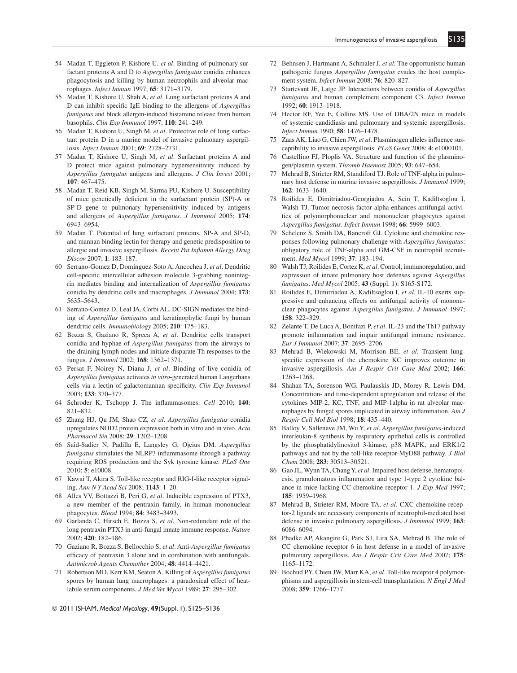- 54 Madan T, Eggleton P, Kishore U, *et al* . Binding of pulmonary surfactant proteins A and D to *Aspergillus fumigatus* conidia enhances phagocytosis and killing by human neutrophils and alveolar macrophages. *Infect Immun* 1997; **65** : 3171 – 3179.
- 55 Madan T, Kishore U, Shah A, *et al* . Lung surfactant proteins A and D can inhibit specific IgE binding to the allergens of *Aspergillus fumigatus* and block allergen-induced histamine release from human basophils. *Clin Exp Immunol* 1997; 110: 241-249.
- 56 Madan T, Kishore U, Singh M, *et al* . Protective role of lung surfactant protein D in a murine model of invasive pulmonary aspergillosis. *Infect Immun* 2001; **69** : 2728 – 2731.
- 57 Madan T, Kishore U, Singh M, *et al* . Surfactant proteins A and D protect mice against pulmonary hypersensitivity induced by *Aspergillus fumigatus* antigens and allergens. *J Clin Invest* 2001; **107**: 467-475.
- 58 Madan T, Reid KB, Singh M, Sarma PU, Kishore U. Susceptibility of mice genetically deficient in the surfactant protein (SP)-A or SP-D gene to pulmonary hypersensitivity induced by antigens and allergens of *Aspergillus fumigatus* . *J Immunol* 2005; **174** : 6943-6954.
- 59 Madan T. Potential of lung surfactant proteins, SP-A and SP-D, and mannan binding lectin for therapy and genetic predisposition to allergic and invasive aspergillosis. *Recent Pat Inflamm Allergy Drug Discov* 2007: **1**: 183-187.
- 60 Serrano-Gomez D, Dominguez-Soto A, Ancochea J, *et al* . Dendritic cell-specific intercellular adhesion molecule 3-grabbing nonintegrin mediates binding and internalization of *Aspergillus fumigatus* conidia by dendritic cells and macrophages. *J Immunol* 2004; **173** : 5635 – 5643.
- Serrano-Gomez D, Leal JA, Corbi AL. DC-SIGN mediates the binding of *Aspergillus fumigatus* and keratinophylic fungi by human dendritic cells. *Immunobiology* 2005; **210** : 175 – 183.
- 62 Bozza S, Gaziano R, Spreca A, *et al* . Dendritic cells transport conidia and hyphae of *Aspergillus fumigatus* from the airways to the draining lymph nodes and initiate disparate Th responses to the fungus. *J Immunol* 2002; **168** : 1362 – 1371.
- 63 Persat F, Noirey N, Diana J, *et al* . Binding of live conidia of *Aspergillus fumigatus* activates *in vitro*-generated human Langerhans cells via a lectin of galactomannan specificity. *Clin Exp Immunol* 2003; **133** : 370 – 377.
- 64 Schroder K, Tschopp J. The inflammasomes. *Cell* 2010; 140: 821-832.
- 65 Zhang HJ, Qu JM, Shao CZ, *et al* . *Aspergillus fumigatus* conidia upregulates NOD2 protein expression both in vitro and in vivo. *Acta Pharmacol Sin* 2008; **29** : 1202 – 1208.
- 66 Said-Sadier N, Padilla E, Langsley G, Ojcius DM. *Aspergillus fumigatus* stimulates the NLRP3 inflammasome through a pathway requiring ROS production and the Syk tyrosine kinase. *PLoS One* 2010; **5** : e10008.
- 67 Kawai T, Akira S. Toll-like receptor and RIG-I-like receptor signaling. Ann N Y Acad Sci 2008; 1143: 1-20.
- 68 Alles VV, Bottazzi B, Peri G, *et al* . Inducible expression of PTX3, a new member of the pentraxin family, in human mononuclear phagocytes. *Blood* 1994; **84** : 3483 – 3493.
- 69 Garlanda C, Hirsch E, Bozza S, *et al* . Non-redundant role of the long pentraxin PTX3 in anti-fungal innate immune response. *Nature* 2002; **420** : 182 – 186.
- 70 Gaziano R, Bozza S, Bellocchio S, *et al* . Anti- *Aspergillus fumigatus* efficacy of pentraxin 3 alone and in combination with antifungals. *Antimicrob Agents Chemother* 2004; **48** : 4414 – 4421.
- 71 Robertson MD, Kerr KM, Seaton A. Killing of *Aspergillus fumigatus* spores by human lung macrophages: a paradoxical effect of heatlabile serum components. *J Med Vet Mycol* 1989; 27: 295-302.

- 72 Behnsen J, Hartmann A, Schmaler J, *et al* . The opportunistic human pathogenic fungus *Aspergillus fumigatus* evades the host complement system. *Infect Immun* 2008; **76**: 820-827.
- 73 Sturtevant JE, Latge JP. Interactions between conidia of *Aspergillus fumigatus* and human complement component C3. *Infect Immun* 1992; **60** : 1913 – 1918.
- 74 Hector RF, Yee E, Collins MS. Use of DBA/2N mice in models of systemic candidiasis and pulmonary and systemic aspergillosis. *Infect Immun* 1990; **58** : 1476 – 1478.
- 75 Zaas AK, Liao G, Chien JW, et al. Plasminogen alleles influence susceptibility to invasive aspergillosis. *PLoS Genet* 2008; **4** : e1000101.
- 76 Castellino FJ, Ploplis VA. Structure and function of the plasminogen/plasmin system. *Thromb Haemost* 2005; 93: 647-654.
- 77 Mehrad B, Strieter RM, Standiford TJ. Role of TNF-alpha in pulmonary host defense in murine invasive aspergillosis. *J Immunol* 1999; **162** : 1633 – 1640.
- 78 Roilides E, Dimitriadou-Georgiadou A, Sein T, Kadiltsoglou I, Walsh TJ. Tumor necrosis factor alpha enhances antifungal activities of polymorphonuclear and mononuclear phagocytes against *Aspergillus fumigatus* . *Infect Immun* 1998; **66** : 5999 – 6003.
- 79 Schelenz S, Smith DA, Bancroft GJ. Cytokine and chemokine responses following pulmonary challenge with *Aspergillus fumigatus* : obligatory role of TNF-alpha and GM-CSF in neutrophil recruitment. *Med Mycol* 1999; 37: 183-194.
- 80 Walsh TJ, Roilides E, Cortez K, *et al* . Control, immunoregulation, and expression of innate pulmonary host defenses against *Aspergillus fumigatus* . *Med Mycol* 2005; **43** (Suppl. 1): S165-S172.
- 81 Roilides E, Dimitriadou A, Kadiltsoglou I, *et al* . IL-10 exerts suppressive and enhancing effects on antifungal activity of mononuclear phagocytes against *Aspergillus fumigatus* . *J Immunol* 1997; **158** : 322 – 329.
- 82 Zelante T, De Luca A, Bonifazi P, *et al* . IL-23 and the Th17 pathway promote inflammation and impair antifungal immune resistance. *Eur J Immunol* 2007; **37** : 2695 – 2706.
- 83 Mehrad B, Wiekowski M, Morrison BE, *et al* . Transient lungspecific expression of the chemokine KC improves outcome in invasive aspergillosis. *Am J Respir Crit Care Med* 2002; **166** : 1263 – 1268.
- 84 Shahan TA, Sorenson WG, Paulauskis JD, Morey R, Lewis DM. Concentration- and time-dependent upregulation and release of the cytokines MIP-2, KC, TNF, and MIP-1alpha in rat alveolar macrophages by fungal spores implicated in airway inflammation. Am J *Respir Cell Mol Biol* 1998; **18** : 435 – 440.
- 85 Balloy V, Sallenave JM, Wu Y, *et al* . *Aspergillus fumigatus* -induced interleukin-8 synthesis by respiratory epithelial cells is controlled by the phosphatidylinositol 3-kinase, p38 MAPK, and ERK1/2 pathways and not by the toll-like receptor-MyD88 pathway. *J Biol Chem* 2008; **283** : 30513 – 30521.
- 86 Gao JL, Wynn TA, Chang Y, *et al* . Impaired host defense, hematopoiesis, granulomatous inflammation and type 1-type 2 cytokine balance in mice lacking CC chemokine receptor 1. *J Exp Med* 1997; **185** : 1959 – 1968.
- 87 Mehrad B, Strieter RM, Moore TA, *et al* . CXC chemokine receptor-2 ligands are necessary components of neutrophil-mediated host defense in invasive pulmonary aspergillosis. *J Immunol* 1999; **163** : 6086-6094.
- 88 Phadke AP, Akangire G, Park SJ, Lira SA, Mehrad B. The role of CC chemokine receptor 6 in host defense in a model of invasive pulmonary aspergillosis. *Am J Respir Crit Care Med* 2007; **175** : 1165 – 1172.
- 89 Bochud PY, Chien JW, Marr KA, *et al* . Toll-like receptor 4 polymorphisms and aspergillosis in stem-cell transplantation. *N Engl J Med* 2008; **359** : 1766 – 1777.